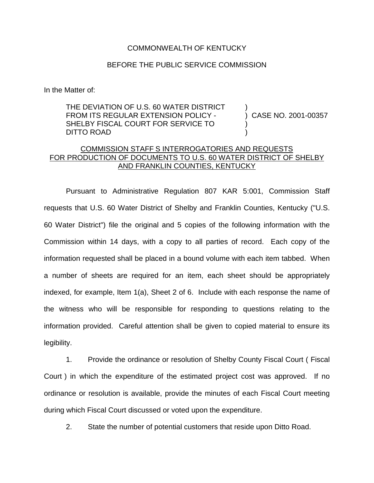## COMMONWEALTH OF KENTUCKY

## BEFORE THE PUBLIC SERVICE COMMISSION

In the Matter of:

THE DEVIATION OF U.S. 60 WATER DISTRICT FROM ITS REGULAR EXTENSION POLICY - SHELBY FISCAL COURT FOR SERVICE TO DITTO ROAD

) CASE NO. 2001-00357

)

) )

## COMMISSION STAFF S INTERROGATORIES AND REQUESTS FOR PRODUCTION OF DOCUMENTS TO U.S. 60 WATER DISTRICT OF SHELBY AND FRANKLIN COUNTIES, KENTUCKY

Pursuant to Administrative Regulation 807 KAR 5:001, Commission Staff requests that U.S. 60 Water District of Shelby and Franklin Counties, Kentucky ("U.S. 60 Water District") file the original and 5 copies of the following information with the Commission within 14 days, with a copy to all parties of record. Each copy of the information requested shall be placed in a bound volume with each item tabbed. When a number of sheets are required for an item, each sheet should be appropriately indexed, for example, Item 1(a), Sheet 2 of 6. Include with each response the name of the witness who will be responsible for responding to questions relating to the information provided. Careful attention shall be given to copied material to ensure its legibility.

1. Provide the ordinance or resolution of Shelby County Fiscal Court ( Fiscal Court ) in which the expenditure of the estimated project cost was approved. If no ordinance or resolution is available, provide the minutes of each Fiscal Court meeting during which Fiscal Court discussed or voted upon the expenditure.

2. State the number of potential customers that reside upon Ditto Road.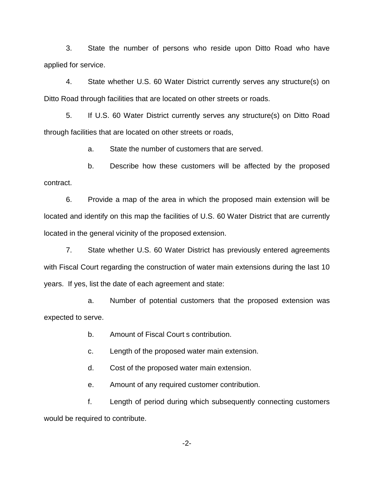3. State the number of persons who reside upon Ditto Road who have applied for service.

4. State whether U.S. 60 Water District currently serves any structure(s) on Ditto Road through facilities that are located on other streets or roads.

5. If U.S. 60 Water District currently serves any structure(s) on Ditto Road through facilities that are located on other streets or roads,

a. State the number of customers that are served.

b. Describe how these customers will be affected by the proposed contract.

6. Provide a map of the area in which the proposed main extension will be located and identify on this map the facilities of U.S. 60 Water District that are currently located in the general vicinity of the proposed extension.

7. State whether U.S. 60 Water District has previously entered agreements with Fiscal Court regarding the construction of water main extensions during the last 10 years. If yes, list the date of each agreement and state:

a. Number of potential customers that the proposed extension was expected to serve.

b. Amount of Fiscal Court s contribution.

c. Length of the proposed water main extension.

d. Cost of the proposed water main extension.

e. Amount of any required customer contribution.

f. Length of period during which subsequently connecting customers would be required to contribute.

-2-